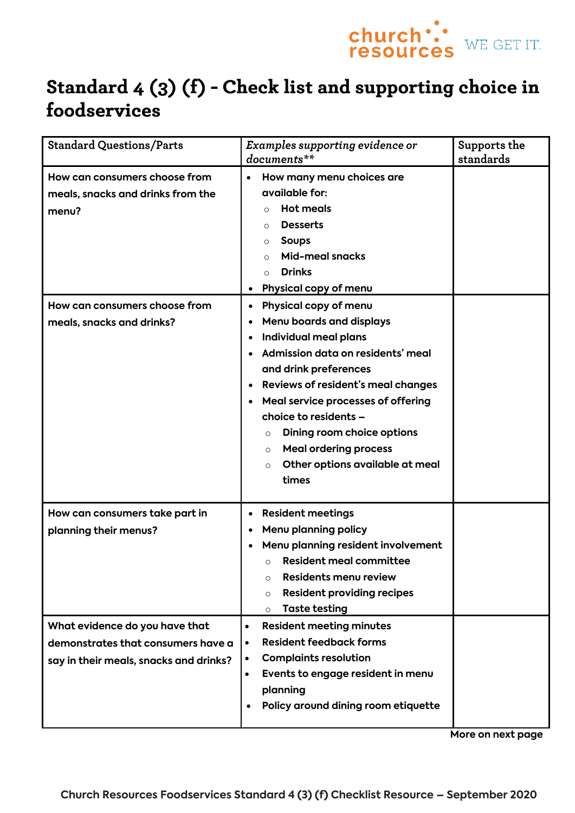

## Standard 4 (3) (f) - Check list and supporting choice in foodservices

| <b>Standard Questions/Parts</b>                                                                                                           | Examples supporting evidence or<br>documents**                                                                                                                                                                                                                                                                                                                                                                                                                                                                                                                                                                     | Supports the<br>standards |
|-------------------------------------------------------------------------------------------------------------------------------------------|--------------------------------------------------------------------------------------------------------------------------------------------------------------------------------------------------------------------------------------------------------------------------------------------------------------------------------------------------------------------------------------------------------------------------------------------------------------------------------------------------------------------------------------------------------------------------------------------------------------------|---------------------------|
| How can consumers choose from<br>meals, snacks and drinks from the<br>menu?<br>How can consumers choose from<br>meals, snacks and drinks? | How many menu choices are<br>$\bullet$<br>available for:<br><b>Hot meals</b><br>O<br><b>Desserts</b><br>O<br>Soups<br>O<br><b>Mid-meal snacks</b><br><b>Drinks</b><br>$\Omega$<br>Physical copy of menu<br>Physical copy of menu<br>$\bullet$<br>Menu boards and displays<br>$\bullet$<br>Individual meal plans<br>Admission data on residents' meal<br>and drink preferences<br>Reviews of resident's meal changes<br>Meal service processes of offering<br>choice to residents -<br>Dining room choice options<br><b>Meal ordering process</b><br>$\circ$<br>Other options available at meal<br>$\circ$<br>times |                           |
| How can consumers take part in<br>planning their menus?                                                                                   | <b>Resident meetings</b><br>$\bullet$<br>Menu planning policy<br>Menu planning resident involvement<br><b>Resident meal committee</b><br>$\Omega$<br><b>Residents menu review</b><br>$\circ$<br><b>Resident providing recipes</b><br>$\circ$<br><b>Taste testing</b><br>$\circ$                                                                                                                                                                                                                                                                                                                                    |                           |
| What evidence do you have that<br>demonstrates that consumers have a<br>say in their meals, snacks and drinks?                            | <b>Resident meeting minutes</b><br>$\bullet$<br><b>Resident feedback forms</b><br>$\bullet$<br><b>Complaints resolution</b><br>$\bullet$<br>Events to engage resident in menu<br>$\bullet$<br>planning<br>Policy around dining room etiquette<br>$\bullet$                                                                                                                                                                                                                                                                                                                                                         |                           |

**More on next page**